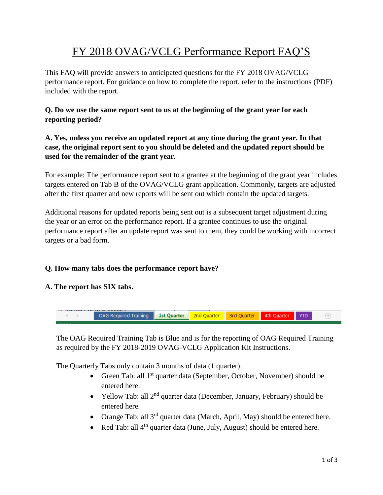# FY 2018 OVAG/VCLG Performance Report FAQ'S

This FAQ will provide answers to anticipated questions for the FY 2018 OVAG/VCLG performance report. For guidance on how to complete the report, refer to the instructions (PDF) included with the report.

# **Q. Do we use the same report sent to us at the beginning of the grant year for each reporting period?**

## **A. Yes, unless you receive an updated report at any time during the grant year. In that case, the original report sent to you should be deleted and the updated report should be used for the remainder of the grant year.**

For example: The performance report sent to a grantee at the beginning of the grant year includes targets entered on Tab B of the OVAG/VCLG grant application. Commonly, targets are adjusted after the first quarter and new reports will be sent out which contain the updated targets.

Additional reasons for updated reports being sent out is a subsequent target adjustment during the year or an error on the performance report. If a grantee continues to use the original performance report after an update report was sent to them, they could be working with incorrect targets or a bad form.

# **Q. How many tabs does the performance report have?**

### **A. The report has SIX tabs.**



The OAG Required Training Tab is Blue and is for the reporting of OAG Required Training as required by the FY 2018-2019 OVAG-VCLG Application Kit Instructions.

The Quarterly Tabs only contain 3 months of data (1 quarter).

- Green Tab: all  $1<sup>st</sup>$  quarter data (September, October, November) should be entered here.
- Yellow Tab: all  $2^{nd}$  quarter data (December, January, February) should be entered here.
- Orange Tab: all  $3^{rd}$  quarter data (March, April, May) should be entered here.
- Red Tab: all 4<sup>th</sup> quarter data (June, July, August) should be entered here.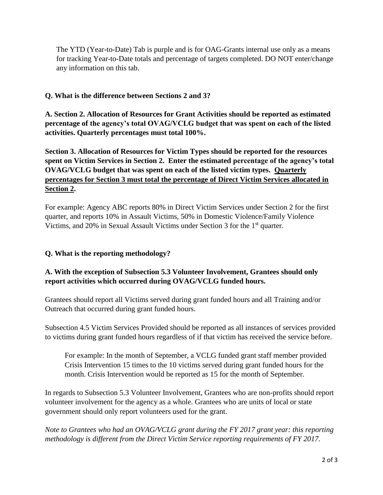The YTD (Year-to-Date) Tab is purple and is for OAG-Grants internal use only as a means for tracking Year-to-Date totals and percentage of targets completed. DO NOT enter/change any information on this tab.

## **Q. What is the difference between Sections 2 and 3?**

**A. Section 2. Allocation of Resources for Grant Activities should be reported as estimated percentage of the agency's total OVAG/VCLG budget that was spent on each of the listed activities. Quarterly percentages must total 100%.**

**Section 3. Allocation of Resources for Victim Types should be reported for the resources spent on Victim Services in Section 2. Enter the estimated percentage of the agency's total OVAG/VCLG budget that was spent on each of the listed victim types. Quarterly percentages for Section 3 must total the percentage of Direct Victim Services allocated in Section 2.**

For example: Agency ABC reports 80% in Direct Victim Services under Section 2 for the first quarter, and reports 10% in Assault Victims, 50% in Domestic Violence/Family Violence Victims, and 20% in Sexual Assault Victims under Section 3 for the  $1<sup>st</sup>$  quarter.

### **Q. What is the reporting methodology?**

# **A. With the exception of Subsection 5.3 Volunteer Involvement, Grantees should only report activities which occurred during OVAG/VCLG funded hours.**

Grantees should report all Victims served during grant funded hours and all Training and/or Outreach that occurred during grant funded hours.

Subsection 4.5 Victim Services Provided should be reported as all instances of services provided to victims during grant funded hours regardless of if that victim has received the service before.

For example: In the month of September, a VCLG funded grant staff member provided Crisis Intervention 15 times to the 10 victims served during grant funded hours for the month. Crisis Intervention would be reported as 15 for the month of September.

In regards to Subsection 5.3 Volunteer Involvement, Grantees who are non-profits should report volunteer involvement for the agency as a whole. Grantees who are units of local or state government should only report volunteers used for the grant.

*Note to Grantees who had an OVAG/VCLG grant during the FY 2017 grant year: this reporting methodology is different from the Direct Victim Service reporting requirements of FY 2017.*